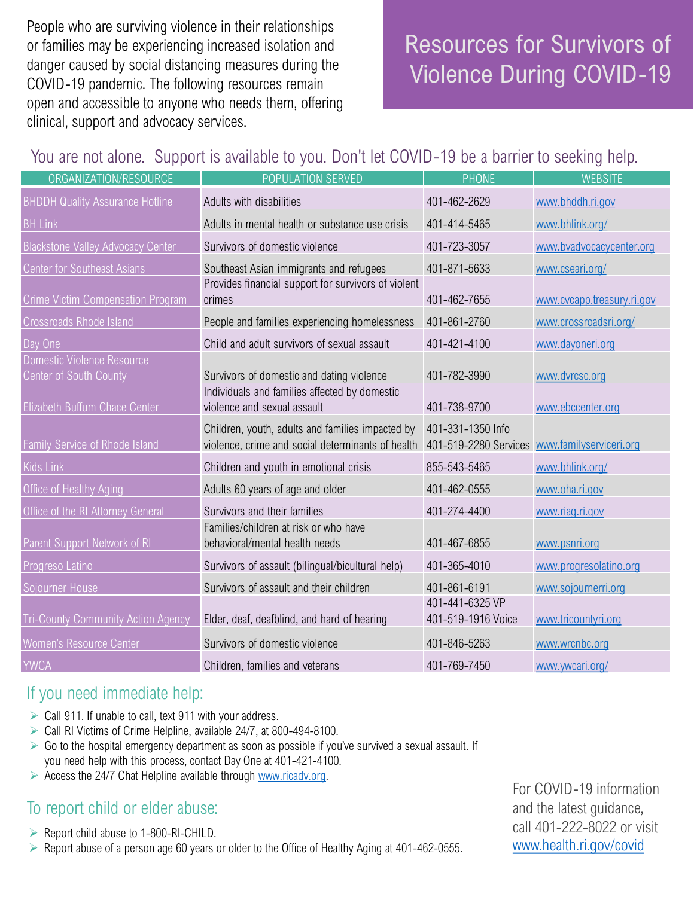People who are surviving violence in their relationships or families may be experiencing increased isolation and danger caused by social distancing measures during the COVID-19 pandemic. The following resources remain open and accessible to anyone who needs them, offering clinical, support and advocacy services.

# Resources for Survivors of Violence During COVID-19

# You are not alone. Support is available to you. Don't let COVID-19 be a barrier to seeking help.

| ORGANIZATION/RESOURCE                                | POPULATION SERVED                                                                                     | <b>PHONE</b>                                                       | <b>WEBSITE</b>             |
|------------------------------------------------------|-------------------------------------------------------------------------------------------------------|--------------------------------------------------------------------|----------------------------|
| <b>BHDDH Quality Assurance Hotline</b>               | Adults with disabilities                                                                              | 401-462-2629                                                       | www.bhddh.ri.gov           |
| <b>BH Link</b>                                       | Adults in mental health or substance use crisis                                                       | 401-414-5465                                                       | www.bhlink.org/            |
| <b>Blackstone Valley Advocacy Center</b>             | Survivors of domestic violence                                                                        | 401-723-3057                                                       | www.bvadvocacycenter.org   |
| <b>Center for Southeast Asians</b>                   | Southeast Asian immigrants and refugees                                                               | 401-871-5633                                                       | www.cseari.org/            |
| <b>Crime Victim Compensation Program</b>             | Provides financial support for survivors of violent<br>crimes                                         | 401-462-7655                                                       | www.cvcapp.treasury.ri.gov |
| <b>Crossroads Rhode Island</b>                       | People and families experiencing homelessness                                                         | 401-861-2760                                                       | www.crossroadsri.org/      |
| Day One                                              | Child and adult survivors of sexual assault                                                           | 401-421-4100                                                       | www.dayoneri.org           |
| Domestic Violence Resource<br>Center of South County | Survivors of domestic and dating violence                                                             | 401-782-3990                                                       | www.dvrcsc.org             |
| Elizabeth Buffum Chace Center                        | Individuals and families affected by domestic<br>violence and sexual assault                          | 401-738-9700                                                       | www.ebccenter.org          |
| Family Service of Rhode Island                       | Children, youth, adults and families impacted by<br>violence, crime and social determinants of health | 401-331-1350 Info<br>401-519-2280 Services www.familyserviceri.org |                            |
| <b>Kids Link</b>                                     | Children and youth in emotional crisis                                                                | 855-543-5465                                                       | www.bhlink.org/            |
| Office of Healthy Aging                              | Adults 60 years of age and older                                                                      | 401-462-0555                                                       | www.oha.ri.gov             |
| Office of the RI Attorney General                    | Survivors and their families                                                                          | 401-274-4400                                                       | www.riag.ri.gov            |
| Parent Support Network of RI                         | Families/children at risk or who have<br>behavioral/mental health needs                               | 401-467-6855                                                       | www.psnri.org              |
| Progreso Latino                                      | Survivors of assault (bilingual/bicultural help)                                                      | 401-365-4010                                                       | www.progresolatino.org     |
| Sojourner House                                      | Survivors of assault and their children                                                               | 401-861-6191                                                       | www.sojournerri.org        |
| <b>Tri-County Community Action Agency</b>            | Elder, deaf, deafblind, and hard of hearing                                                           | 401-441-6325 VP<br>401-519-1916 Voice                              | www.tricountyri.org        |
| Women's Resource Center                              | Survivors of domestic violence                                                                        | 401-846-5263                                                       | www.wrcnbc.org             |
| <b>YWCA</b>                                          | Children, families and veterans                                                                       | 401-769-7450                                                       | www.ywcari.org/            |

# If you need immediate help:

- $\triangleright$  Call 911. If unable to call, text 911 with your address.
- ➢ Call RI Victims of Crime Helpline, available 24/7, at 800-494-8100.
- $\triangleright$  Go to the hospital emergency department as soon as possible if you've survived a sexual assault. If you need help with this process, contact Day One at 401-421-4100.
- $\triangleright$  Access the 24/7 Chat Helpline available through [www.ricadv.org.](http://www.ricadv.org/)

# To report child or elder abuse:

- ➢ Report child abuse to 1-800-RI-CHILD.
- ➢ Report abuse of a person age 60 years or older to the Office of Healthy Aging at 401-462-0555.

For COVID-19 information and the latest guidance, call 401-222-8022 or visit [www.health.ri.gov/covid](http://www.health.ri.gov/covid)